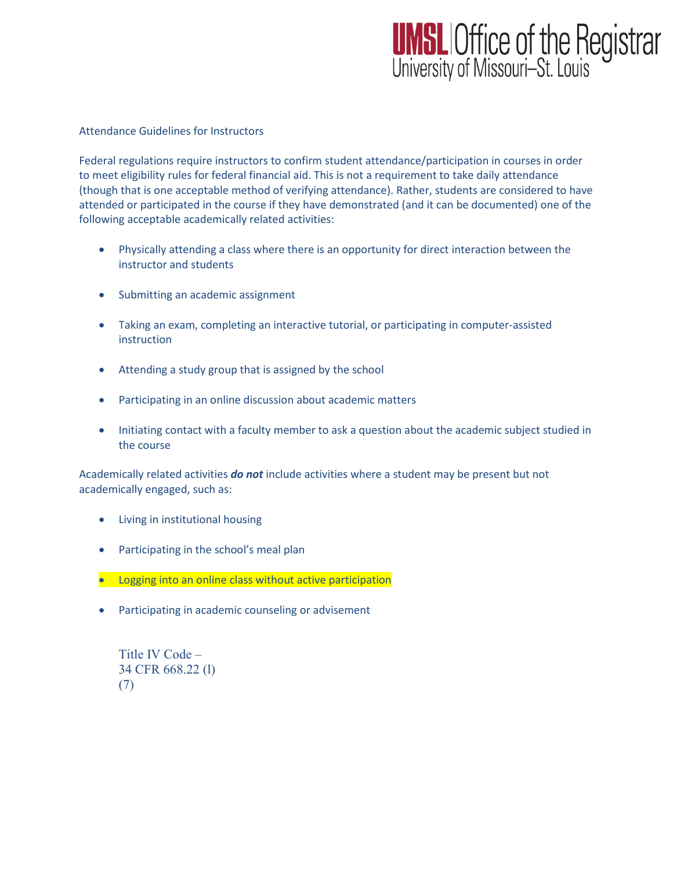## **UMSL** Office of the Registrar<br>University of Missouri-St. Louis

## Attendance Guidelines for Instructors

Federal regulations require instructors to confirm student attendance/participation in courses in order to meet eligibility rules for federal financial aid. This is not a requirement to take daily attendance (though that is one acceptable method of verifying attendance). Rather, students are considered to have attended or participated in the course if they have demonstrated (and it can be documented) one of the following acceptable academically related activities:

- Physically attending a class where there is an opportunity for direct interaction between the instructor and students
- Submitting an academic assignment
- Taking an exam, completing an interactive tutorial, or participating in computer-assisted instruction
- Attending a study group that is assigned by the school
- Participating in an online discussion about academic matters
- Initiating contact with a faculty member to ask a question about the academic subject studied in the course

Academically related activities *do not* include activities where a student may be present but not academically engaged, such as:

- Living in institutional housing
- Participating in the school's meal plan
- Logging into an online class without active participation
- Participating in academic counseling or advisement

```
Title IV Code –
34 CFR 668.22 (l)
(7)
```